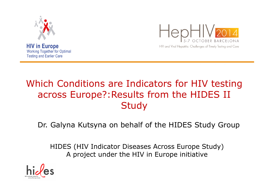





# Which Conditions are Indicators for HIV testing across Europe?:Results from the HIDES II **Study**

#### Dr. Galyna Kutsyna on behalf of the HIDES Study Group

HIDES (HIV Indicator Diseases Across Europe Study)A project under the HIV in Europe initiative

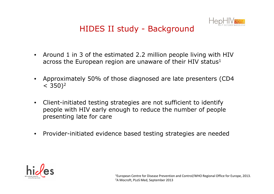

# HIDES II study - Background

- Around 1 in 3 of the estimated 2.2 million people living with HIV across the European region are unaware of their HIV status<sup>1</sup>
- • Approximately 50% of those diagnosed are late presenters (CD4  $< 350)^2$
- • Client-initiated testing strategies are not sufficient to identify people with HIV early enough to reduce the number of people presenting late for care
- $\bullet$ Provider-initiated evidence based testing strategies are needed

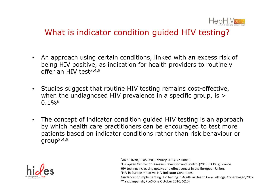

#### What is indicator condition guided HIV testing?

- • An approach using certain conditions, linked with an excess risk of being HIV positive, as indication for health providers to routinely offer an HIV test<sup>3,4,5</sup>
- Studies suggest that routine HIV testing remains cost-effective, when the undiagnosed HIV prevalence in a specific group, is >  $0.1\%$
- The concept of indicator condition guided HIV testing is an approach by which health care practitioners can be encouraged to test more patients based on indicator conditions rather than risk behaviour or<br>group<sup>3,4,5</sup> group3,4,5



<sup>3</sup>AK Sullivan, PLoS ONE, January 2013, Volume 8<sup>4</sup>European Centre for Disease Prevention and Control (2010) ECDC guidance. HIV testing: increasing uptake and effectiveness in the European Union. 5HIV in Europe Initiative. HIV Indicator Conditions:Guidance for Implementing HIV Testing in Adults in Health Care Settings. Copenhagen,2012.<sup>6</sup>Y Yazdanpanah, PLoS One October 2010; 5(10)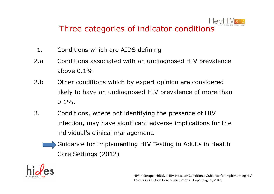

# Three categories of indicator conditions

- 1. Conditions which are AIDS defining
- 2.a Conditions associated with an undiagnosed HIV prevalence above  $0.1\%$
- 2.b Other conditions which by expert opinion are considered likely to have an undiagnosed HIV prevalence of more than  $0.1\%$ .
- 3. Conditions, where not identifying the presence of HIV infection, may have significant adverse implications for the individual's clinical management.
	- Guidance for Implementing HIV Testing in Adults in Health Care Settings (2012)

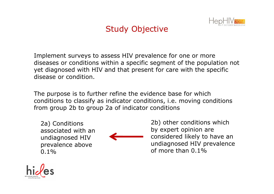

# Study Objective

Implement surveys to assess HIV prevalence for one or more diseases or conditions within a specific segment of the population not yet diagnosed with HIV and that present for care with the specific disease or condition.

The purpose is to further refine the evidence base for which conditions to classify as indicator conditions, i.e. moving conditions from group 2b to group 2a of indicator conditions

2a) Conditions associated with an undiagnosed HIV prevalence above  $0.1\%$ 



2b) other conditions which by expert opinion are considered likely to have an undiagnosed HIV prevalence of more than 0.1%

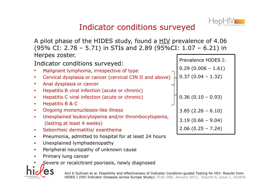

### Indicator conditions surveyed

A pilot phase of the HIDES study, found a HIV prevalence of 4.06 (95% CI: 2.78 – 5.71) in STIs and 2.89 (95%CI: 1.07 – 6.21) in Hernes zoster

| Indicator conditions surveyed:                                                                 | Prevalence HIDES I:  |  |  |  |
|------------------------------------------------------------------------------------------------|----------------------|--|--|--|
| Malignant lymphoma, irrespective of type                                                       | $0.29(0.006 - 1.61)$ |  |  |  |
| Cervical dysplasia or cancer (cervical CIN II and above)                                       | $0.37(0.04 - 1.32)$  |  |  |  |
| Anal dysplasia or cancer                                                                       |                      |  |  |  |
| Hepatitis B viral infection (acute or chronic)<br>$\bullet$                                    |                      |  |  |  |
| Hepatitis C viral infection (acute or chronic)<br>$\bullet$                                    | $0.36(0.10 - 0.93)$  |  |  |  |
| Hepatitis B & C<br>$\bullet$                                                                   |                      |  |  |  |
| Ongoing mononucleosis-like illness<br>$\bullet$                                                | $3.85(2.26 - 6.10)$  |  |  |  |
| Unexplained leukocytopenia and/or thrombocytopenia,<br>$\bullet$<br>(lasting at least 4 weeks) | $3.19(0.66 - 9.04)$  |  |  |  |
| Seborrheic dermatitis/ exanthema<br>$\bullet$                                                  | $2.06(0.25 - 7.24)$  |  |  |  |
|                                                                                                |                      |  |  |  |

- $\bullet$ Pneumonia, admitted to hospital for at least 24 hours
- •Unexplained lymphadenopathy
- Peripheral neuropathy of unknown cause $\bullet$
- •Primary lung cancer
- •Severe or recalcitrant psoriasis, newly diagnosed



Ann K Sullivan et al. Feasibility and effectiveness of Indicator Condition-guided Testing for HIV: Results from HIDES I (HIV Indicator Diseases across Europe Study): PLoS ONE, January 2013, Volume 8, Issue 1, e52845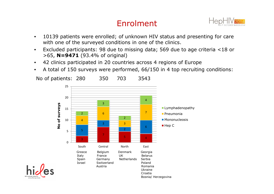# Enrolment



- • 10139 patients were enrolled; of unknown HIV status and presenting for care with one of the surveyed conditions in one of the clinics.
- • Excluded participants: 98 due to missing data; 569 due to age criteria <18 or >65, **N=9471** (93.4% of original)
- •42 clinics participated in 20 countries across 4 regions of Europe
- A total of 150 surveys were performed, 66/150 in 4 top recruiting conditions:•



No of patients: 280 350 703 3543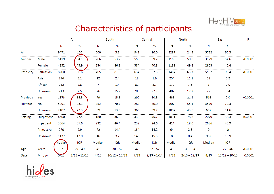

#### Characteristics of participants

|                 |            | All    |                | South  |                 | Central |               | North  |                | East   |                 | P        |
|-----------------|------------|--------|----------------|--------|-----------------|---------|---------------|--------|----------------|--------|-----------------|----------|
|                 |            | N      | %              | N      | %               | N       | %             | N      | %              | N      | %               |          |
| All             |            | 9471   | 100            | 500    | 5.3             | 942     | 10.0          | 2297   | 24.3           | 5732   | 60.5            |          |
| Gender          | Male       | 5119   | 54.1           | 266    | 53.2            | 558     | 59.2          | 1166   | 50.8           | 3129   | 54.6            | < 0.0001 |
|                 | Female     | 4352   | 45.9           | 234    | 46.8            | 384     | 40.8          | 1131   | 49.2           | 2603   | 45.4            |          |
| Ethnicity       | Caucasian  | 8200   | 86.6           | 405    | 81.0            | 634     | 67.3          | 1464   | 63.7           | 5597   | 99.4            | < 0.0001 |
|                 | Asian      | 296    | 3.1            | 12     | 2.4             | 18      | 1.9           | 254    | 11.1           | 12     | 0.2             |          |
|                 | African    | 262    | 2.8            | 7      | 1.4             | 82      | 8.7           | 172    | 7.5            | 1      | 0.0             |          |
|                 | Unknown    | 713    | 7.5            | 76     | 15.2            | 208     | 22.1          | 407    | 17.7           | 22     | 0.4             |          |
| Previous        | Yes        | 1373   | 14.5           | 79     | 15.8            | 290     | 30.8          | 488    | 21.3           | 516    | 9.0             | < 0.0001 |
| <b>HIV</b> test | No         | 5991   | 63.3           | 352    | 70.4            | 283     | 30.0          | 807    | 55.1           | 4549   | 79.4            |          |
|                 | Unknown    | 2107   | 22.3           | 69     | 13.8            | 369     | 39.2          | 1002   | 43.6           | 667    | 11.6            |          |
| <b>Setting</b>  | Outpatient | 4500   | 47.5           | 180    | 36.0            | 430     | 45.7          | 1811   | 78.8           | 2079   | 36.3            | < 0.0001 |
|                 | In patient | 3564   | 37.6           | 232    | 46.4            | 232     | 24.6          | 414    | 18.0           | 2686   | 46.9            |          |
|                 | Prim. care | 270    | 2.9            | 72     | 14.4            | 134     | 14.2          | 64     | 2.8            | 0      | $\mathbf 0$     |          |
|                 | Unknown    | 1137   | 12.0           | 16     | 3.2             | 146     | 15.5          | 8      | 0.4            | 967    | 16.9            |          |
|                 |            | Median | <b>IQR</b>     | Median | <b>IQR</b>      | Median  | <b>IQR</b>    | Median | IQR            | Median | <b>IQR</b>      |          |
| Age             | Years      | 37     | $29 - 49$      | 41     | $30 - 52$       | 42      | $32 - 52$     | 41     | $31 - 54$      | 35     | $27 - 46$       | < 0.0001 |
| Date            | Mm/yy      | 5/13   | $1/13 - 11/13$ | 4/13   | $10/12 - 10/13$ | 7/13    | $2/13 - 1/14$ | 7/13   | $2/13 - 12/13$ | 4/13   | $12/12 - 10/13$ | < 0.0001 |

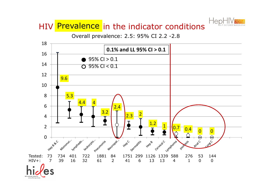

## HIV Prevalence in the indicator conditions

Overall prevalence: 2.5: 95% CI 2.2 -2.8

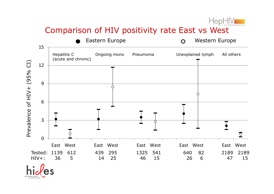

### Comparison of HIV positivity rate East vs West

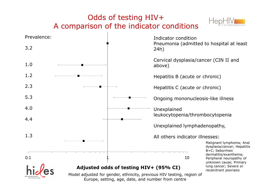# Odds of testing HIV+A comparison of the indicator conditions





Europe, setting, age, date, and number from centre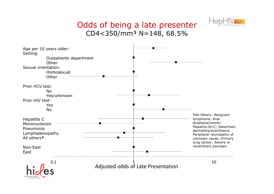#### Odds of being a late presenterCD4<350/mm³ N=148, 68.5%



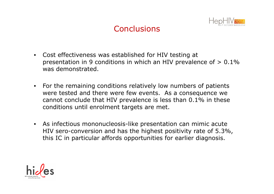

### **Conclusions**

- Cost effectiveness was established for HIV testing at presentation in 9 conditions in which an HIV prevalence of  $> 0.1\%$ was demonstrated.
- For the remaining conditions relatively low numbers of patients<br>were tested and there were few events as a consequence we were tested and there were few events. As a consequence we cannot conclude that HIV prevalence is less than 0.1% in these conditions until enrolment targets are met.
- As infectious mononucleosis-like presentation can mimic acute HIV sero-conversion and has the highest positivity rate of 5.3%, this IC in particular affords opportunities for earlier diagnosis.

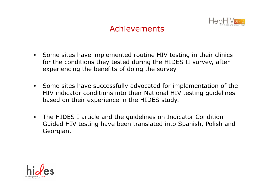

### Achievements

- Some sites have implemented routine HIV testing in their clinics for the conditions they tested during the HIDES II survey, after experiencing the benefits of doing the survey.
- Some sites have successfully advocated for implementation of the HIV indicator conditions into their National HIV testing guidelines based on their experience in the HIDES study.
- The HIDES I article and the guidelines on Indicator Condition Guided HIV testing have been translated into Spanish, Polish and Georgian.

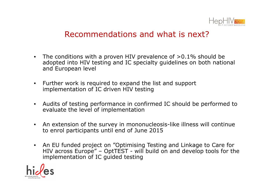

#### Recommendations and what is next?

- The conditions with a proven HIV prevalence of >0.1% should be adopted into HIV testing and IC specialty guidelines on both national and European level
- Further work is required to expand the list and support implementation of IC driven HIV testing
- Audits of testing performance in confirmed IC should be performed to evaluate the level of implementation
- An extension of the survey in mononucleosis-like illness will continue to enrol participants until end of June 2015
- An EU funded project on "Optimising Testing and Linkage to Care for HIV across Europe" – OptTEST - will build on and develop tools for the<br>implementation of IC quided testing implementation of IC guided testing